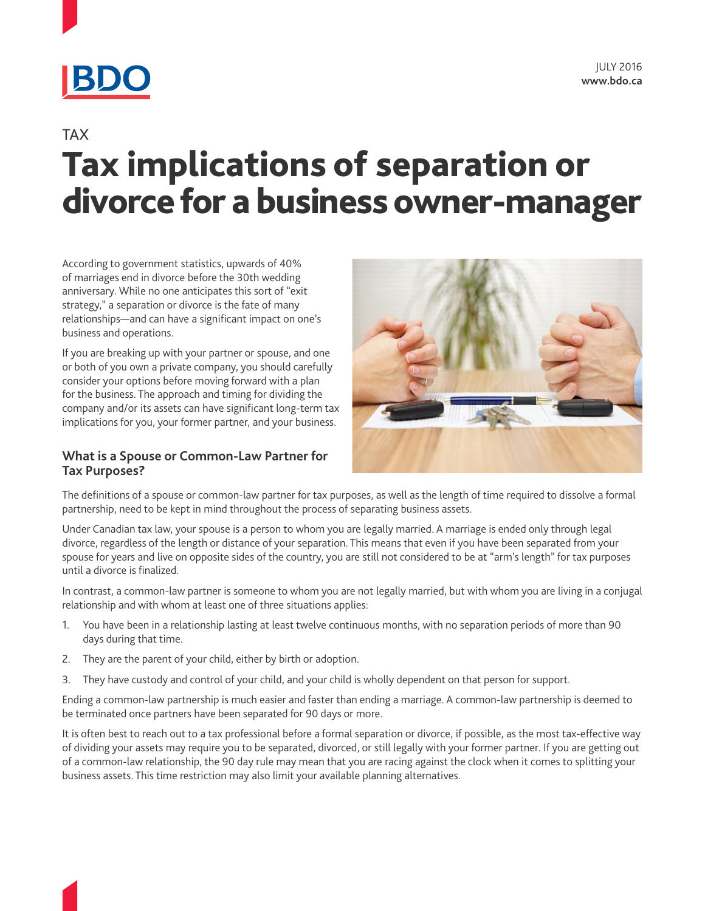

# **TAX** Tax implications of separation or divorce for a business owner-manager

According to government statistics, upwards of 40% of marriages end in divorce before the 30th wedding anniversary. While no one anticipates this sort of "exit strategy," a separation or divorce is the fate of many relationships—and can have a significant impact on one's business and operations.

If you are breaking up with your partner or spouse, and one or both of you own a private company, you should carefully consider your options before moving forward with a plan for the business. The approach and timing for dividing the company and/or its assets can have significant long-term tax implications for you, your former partner, and your business.

#### **What is a Spouse or Common-Law Partner for Tax Purposes?**



The definitions of a spouse or common-law partner for tax purposes, as well as the length of time required to dissolve a formal partnership, need to be kept in mind throughout the process of separating business assets.

Under Canadian tax law, your spouse is a person to whom you are legally married. A marriage is ended only through legal divorce, regardless of the length or distance of your separation. This means that even if you have been separated from your spouse for years and live on opposite sides of the country, you are still not considered to be at "arm's length" for tax purposes until a divorce is finalized.

In contrast, a common-law partner is someone to whom you are not legally married, but with whom you are living in a conjugal relationship and with whom at least one of three situations applies:

- 1. You have been in a relationship lasting at least twelve continuous months, with no separation periods of more than 90 days during that time.
- 2. They are the parent of your child, either by birth or adoption.
- 3. They have custody and control of your child, and your child is wholly dependent on that person for support.

Ending a common-law partnership is much easier and faster than ending a marriage. A common-law partnership is deemed to be terminated once partners have been separated for 90 days or more.

It is often best to reach out to a tax professional before a formal separation or divorce, if possible, as the most tax-effective way of dividing your assets may require you to be separated, divorced, or still legally with your former partner. If you are getting out of a common-law relationship, the 90 day rule may mean that you are racing against the clock when it comes to splitting your business assets. This time restriction may also limit your available planning alternatives.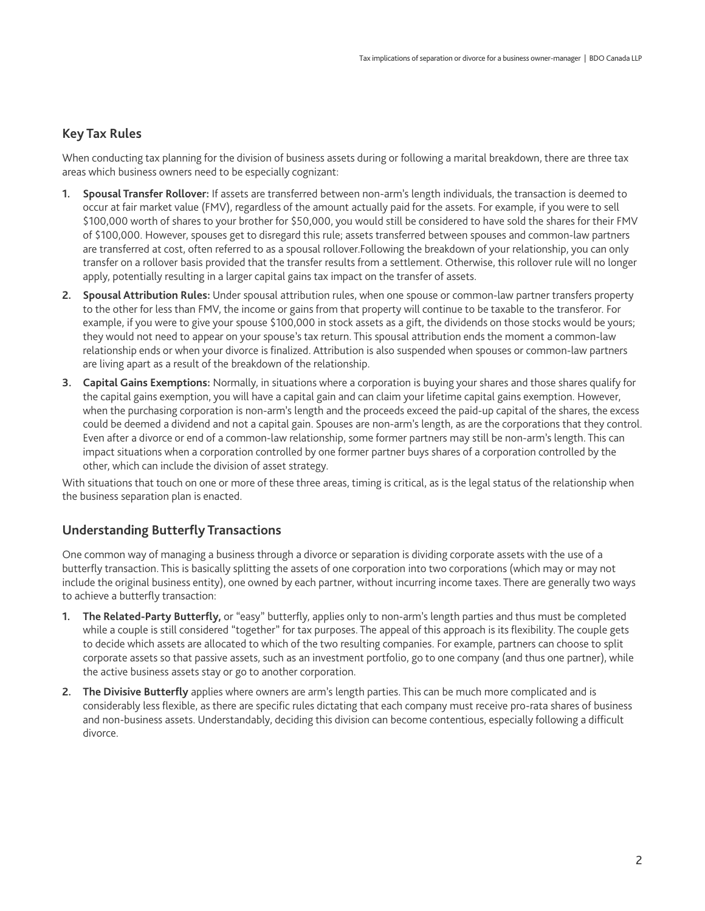# **Key Tax Rules**

When conducting tax planning for the division of business assets during or following a marital breakdown, there are three tax areas which business owners need to be especially cognizant:

- **1. Spousal Transfer Rollover:** If assets are transferred between non-arm's length individuals, the transaction is deemed to occur at fair market value (FMV), regardless of the amount actually paid for the assets. For example, if you were to sell \$100,000 worth of shares to your brother for \$50,000, you would still be considered to have sold the shares for their FMV of \$100,000. However, spouses get to disregard this rule; assets transferred between spouses and common-law partners are transferred at cost, often referred to as a spousal rollover.Following the breakdown of your relationship, you can only transfer on a rollover basis provided that the transfer results from a settlement. Otherwise, this rollover rule will no longer apply, potentially resulting in a larger capital gains tax impact on the transfer of assets.
- **2. Spousal Attribution Rules:** Under spousal attribution rules, when one spouse or common-law partner transfers property to the other for less than FMV, the income or gains from that property will continue to be taxable to the transferor. For example, if you were to give your spouse \$100,000 in stock assets as a gift, the dividends on those stocks would be yours; they would not need to appear on your spouse's tax return. This spousal attribution ends the moment a common-law relationship ends or when your divorce is finalized. Attribution is also suspended when spouses or common-law partners are living apart as a result of the breakdown of the relationship.
- **3. Capital Gains Exemptions:** Normally, in situations where a corporation is buying your shares and those shares qualify for the capital gains exemption, you will have a capital gain and can claim your lifetime capital gains exemption. However, when the purchasing corporation is non-arm's length and the proceeds exceed the paid-up capital of the shares, the excess could be deemed a dividend and not a capital gain. Spouses are non-arm's length, as are the corporations that they control. Even after a divorce or end of a common-law relationship, some former partners may still be non-arm's length. This can impact situations when a corporation controlled by one former partner buys shares of a corporation controlled by the other, which can include the division of asset strategy.

With situations that touch on one or more of these three areas, timing is critical, as is the legal status of the relationship when the business separation plan is enacted.

# **Understanding Butterfly Transactions**

One common way of managing a business through a divorce or separation is dividing corporate assets with the use of a butterfly transaction. This is basically splitting the assets of one corporation into two corporations (which may or may not include the original business entity), one owned by each partner, without incurring income taxes. There are generally two ways to achieve a butterfly transaction:

- **1. The Related-Party Butterfly,** or "easy" butterfly, applies only to non-arm's length parties and thus must be completed while a couple is still considered "together" for tax purposes. The appeal of this approach is its flexibility. The couple gets to decide which assets are allocated to which of the two resulting companies. For example, partners can choose to split corporate assets so that passive assets, such as an investment portfolio, go to one company (and thus one partner), while the active business assets stay or go to another corporation.
- **2. The Divisive Butterfly** applies where owners are arm's length parties. This can be much more complicated and is considerably less flexible, as there are specific rules dictating that each company must receive pro-rata shares of business and non-business assets. Understandably, deciding this division can become contentious, especially following a difficult divorce.